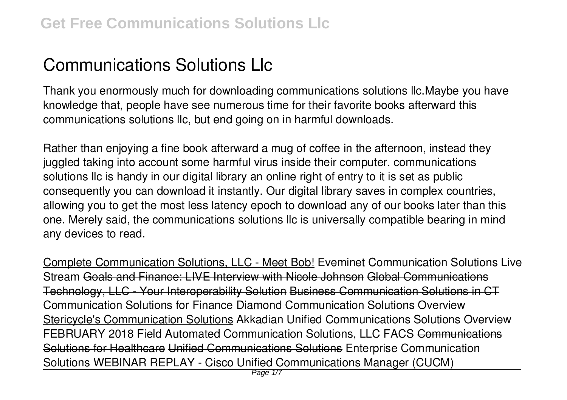## **Communications Solutions Llc**

Thank you enormously much for downloading **communications solutions llc**.Maybe you have knowledge that, people have see numerous time for their favorite books afterward this communications solutions llc, but end going on in harmful downloads.

Rather than enjoying a fine book afterward a mug of coffee in the afternoon, instead they juggled taking into account some harmful virus inside their computer. **communications solutions llc** is handy in our digital library an online right of entry to it is set as public consequently you can download it instantly. Our digital library saves in complex countries, allowing you to get the most less latency epoch to download any of our books later than this one. Merely said, the communications solutions llc is universally compatible bearing in mind any devices to read.

Complete Communication Solutions, LLC - Meet Bob! **Eveminet Communication Solutions Live Stream** Goals and Finance: LIVE Interview with Nicole Johnson Global Communications Technology, LLC - Your Interoperability Solution Business Communication Solutions in CT **Communication Solutions for Finance Diamond Communication Solutions Overview** Stericycle's Communication Solutions *Akkadian Unified Communications Solutions Overview* FEBRUARY 2018 Field Automated Communication Solutions, LLC FACS Communications Solutions for Healthcare Unified Communications Solutions *Enterprise Communication Solutions WEBINAR REPLAY - Cisco Unified Communications Manager (CUCM)*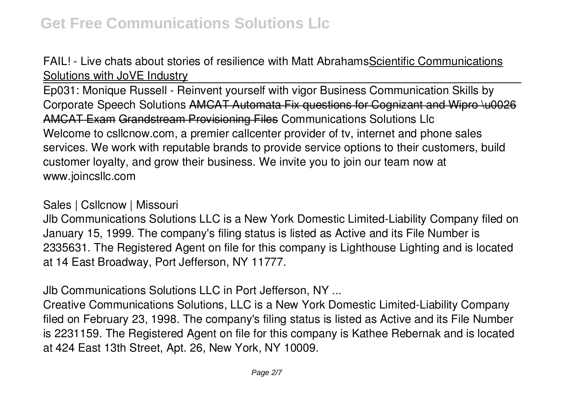FAIL! - Live chats about stories of resilience with Matt AbrahamsScientific Communications Solutions with JoVE Industry

Ep031: Monique Russell - Reinvent yourself with vigor Business Communication Skills by Corporate Speech Solutions AMCAT Automata Fix questions for Cognizant and Wipro \u0026 AMCAT Exam Grandstream Provisioning Files Communications Solutions Llc Welcome to csllcnow.com, a premier callcenter provider of tv, internet and phone sales services. We work with reputable brands to provide service options to their customers, build customer loyalty, and grow their business. We invite you to join our team now at www.joincsllc.com

## Sales | Csllcnow | Missouri

Jlb Communications Solutions LLC is a New York Domestic Limited-Liability Company filed on January 15, 1999. The company's filing status is listed as Active and its File Number is 2335631. The Registered Agent on file for this company is Lighthouse Lighting and is located at 14 East Broadway, Port Jefferson, NY 11777.

Jlb Communications Solutions LLC in Port Jefferson, NY ...

Creative Communications Solutions, LLC is a New York Domestic Limited-Liability Company filed on February 23, 1998. The company's filing status is listed as Active and its File Number is 2231159. The Registered Agent on file for this company is Kathee Rebernak and is located at 424 East 13th Street, Apt. 26, New York, NY 10009.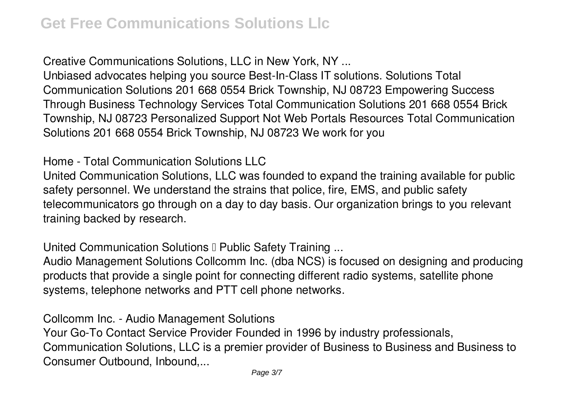Creative Communications Solutions, LLC in New York, NY ...

Unbiased advocates helping you source Best-In-Class IT solutions. Solutions Total Communication Solutions 201 668 0554 Brick Township, NJ 08723 Empowering Success Through Business Technology Services Total Communication Solutions 201 668 0554 Brick Township, NJ 08723 Personalized Support Not Web Portals Resources Total Communication Solutions 201 668 0554 Brick Township, NJ 08723 We work for you

Home - Total Communication Solutions LLC

United Communication Solutions, LLC was founded to expand the training available for public safety personnel. We understand the strains that police, fire, EMS, and public safety telecommunicators go through on a day to day basis. Our organization brings to you relevant training backed by research.

United Communication Solutions D Public Safety Training ...

Audio Management Solutions Collcomm Inc. (dba NCS) is focused on designing and producing products that provide a single point for connecting different radio systems, satellite phone systems, telephone networks and PTT cell phone networks.

Collcomm Inc. - Audio Management Solutions

Your Go-To Contact Service Provider Founded in 1996 by industry professionals, Communication Solutions, LLC is a premier provider of Business to Business and Business to Consumer Outbound, Inbound,...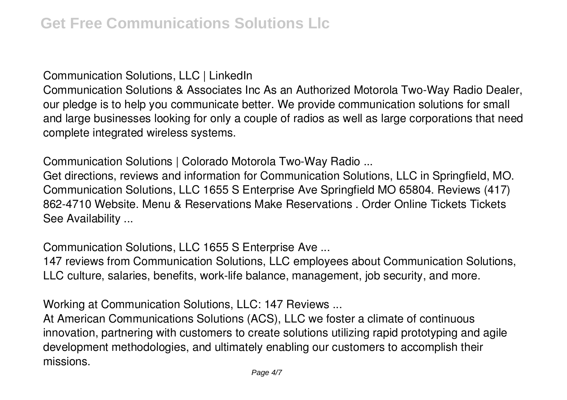Communication Solutions, LLC | LinkedIn

Communication Solutions & Associates Inc As an Authorized Motorola Two-Way Radio Dealer, our pledge is to help you communicate better. We provide communication solutions for small and large businesses looking for only a couple of radios as well as large corporations that need complete integrated wireless systems.

Communication Solutions | Colorado Motorola Two-Way Radio ...

Get directions, reviews and information for Communication Solutions, LLC in Springfield, MO. Communication Solutions, LLC 1655 S Enterprise Ave Springfield MO 65804. Reviews (417) 862-4710 Website. Menu & Reservations Make Reservations . Order Online Tickets Tickets See Availability ...

Communication Solutions, LLC 1655 S Enterprise Ave ...

147 reviews from Communication Solutions, LLC employees about Communication Solutions, LLC culture, salaries, benefits, work-life balance, management, job security, and more.

Working at Communication Solutions, LLC: 147 Reviews ...

At American Communications Solutions (ACS), LLC we foster a climate of continuous innovation, partnering with customers to create solutions utilizing rapid prototyping and agile development methodologies, and ultimately enabling our customers to accomplish their missions.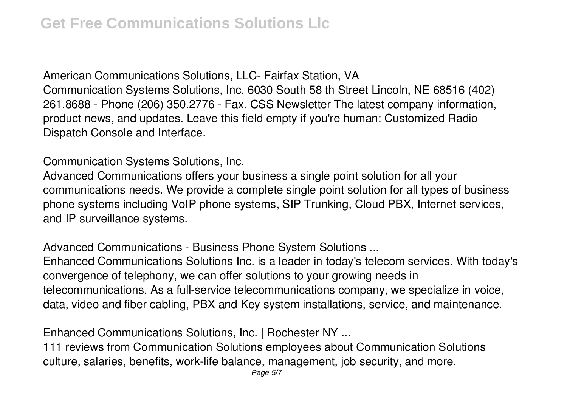American Communications Solutions, LLC- Fairfax Station, VA Communication Systems Solutions, Inc. 6030 South 58 th Street Lincoln, NE 68516 (402) 261.8688 - Phone (206) 350.2776 - Fax. CSS Newsletter The latest company information, product news, and updates. Leave this field empty if you're human: Customized Radio Dispatch Console and Interface.

Communication Systems Solutions, Inc.

Advanced Communications offers your business a single point solution for all your communications needs. We provide a complete single point solution for all types of business phone systems including VoIP phone systems, SIP Trunking, Cloud PBX, Internet services, and IP surveillance systems.

Advanced Communications - Business Phone System Solutions ...

Enhanced Communications Solutions Inc. is a leader in today's telecom services. With today's convergence of telephony, we can offer solutions to your growing needs in telecommunications. As a full-service telecommunications company, we specialize in voice, data, video and fiber cabling, PBX and Key system installations, service, and maintenance.

Enhanced Communications Solutions, Inc. | Rochester NY ...

111 reviews from Communication Solutions employees about Communication Solutions culture, salaries, benefits, work-life balance, management, job security, and more.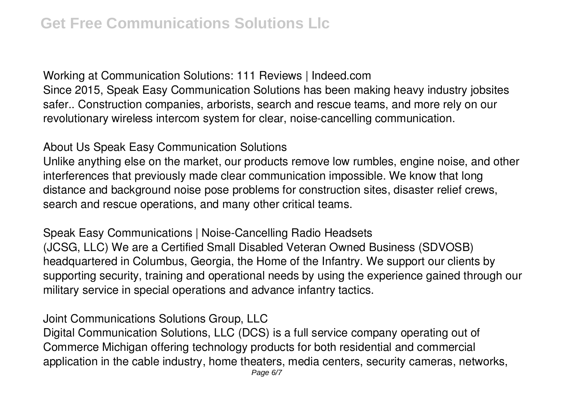Working at Communication Solutions: 111 Reviews | Indeed.com Since 2015, Speak Easy Communication Solutions has been making heavy industry jobsites safer.. Construction companies, arborists, search and rescue teams, and more rely on our revolutionary wireless intercom system for clear, noise-cancelling communication.

About Us Speak Easy Communication Solutions

Unlike anything else on the market, our products remove low rumbles, engine noise, and other interferences that previously made clear communication impossible. We know that long distance and background noise pose problems for construction sites, disaster relief crews, search and rescue operations, and many other critical teams.

Speak Easy Communications | Noise-Cancelling Radio Headsets (JCSG, LLC) We are a Certified Small Disabled Veteran Owned Business (SDVOSB) headquartered in Columbus, Georgia, the Home of the Infantry. We support our clients by supporting security, training and operational needs by using the experience gained through our military service in special operations and advance infantry tactics.

Joint Communications Solutions Group, LLC

Digital Communication Solutions, LLC (DCS) is a full service company operating out of Commerce Michigan offering technology products for both residential and commercial application in the cable industry, home theaters, media centers, security cameras, networks,